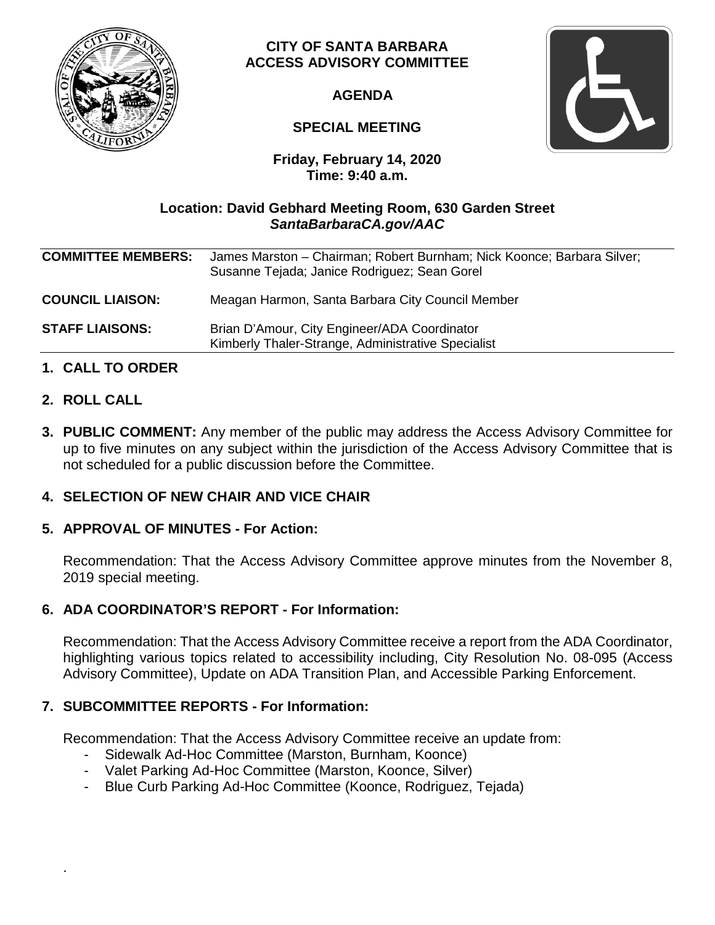

# **CITY OF SANTA BARBARA ACCESS ADVISORY COMMITTEE**

**AGENDA**

# **SPECIAL MEETING**



**Friday, February 14, 2020 Time: 9:40 a.m.**

# **Location: David Gebhard Meeting Room, 630 Garden Street** *SantaBarbaraCA.gov/AAC*

| <b>COMMITTEE MEMBERS:</b> | James Marston - Chairman; Robert Burnham; Nick Koonce; Barbara Silver;<br>Susanne Tejada; Janice Rodriguez; Sean Gorel |
|---------------------------|------------------------------------------------------------------------------------------------------------------------|
| <b>COUNCIL LIAISON:</b>   | Meagan Harmon, Santa Barbara City Council Member                                                                       |
| <b>STAFF LIAISONS:</b>    | Brian D'Amour, City Engineer/ADA Coordinator<br>Kimberly Thaler-Strange, Administrative Specialist                     |
|                           |                                                                                                                        |

# **1. CALL TO ORDER**

### **2. ROLL CALL**

.

**3. PUBLIC COMMENT:** Any member of the public may address the Access Advisory Committee for up to five minutes on any subject within the jurisdiction of the Access Advisory Committee that is not scheduled for a public discussion before the Committee.

# **4. SELECTION OF NEW CHAIR AND VICE CHAIR**

### **5. APPROVAL OF MINUTES - For Action:**

Recommendation: That the Access Advisory Committee approve minutes from the November 8, 2019 special meeting.

### **6. ADA COORDINATOR'S REPORT - For Information:**

Recommendation: That the Access Advisory Committee receive a report from the ADA Coordinator, highlighting various topics related to accessibility including, City Resolution No. 08-095 (Access Advisory Committee), Update on ADA Transition Plan, and Accessible Parking Enforcement.

### **7. SUBCOMMITTEE REPORTS - For Information:**

Recommendation: That the Access Advisory Committee receive an update from:

- Sidewalk Ad-Hoc Committee (Marston, Burnham, Koonce)
- Valet Parking Ad-Hoc Committee (Marston, Koonce, Silver)
- Blue Curb Parking Ad-Hoc Committee (Koonce, Rodriguez, Tejada)